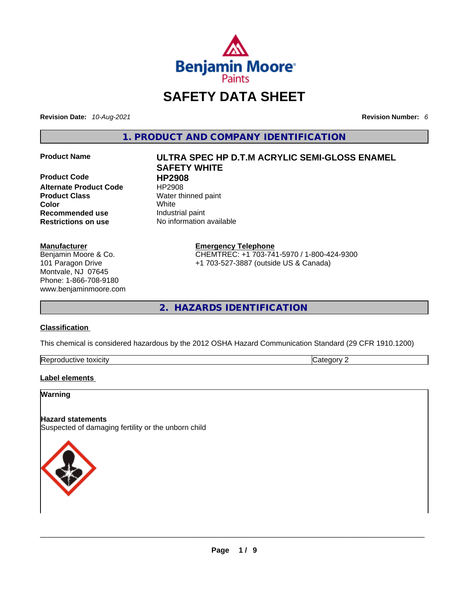

## **SAFETY DATA SHEET**

**Revision Date:** *10-Aug-2021* **Revision Number:** *6*

**1. PRODUCT AND COMPANY IDENTIFICATION** 

**Product Code HP2908 Alternate Product Code HP2908 Product Class Water thinned paint Color**<br> **Recommended use Color Recommended use Color Color Color Color Color Color Color Color Color Color Color Color Color Color Color Color Color Color Col Recommended use**<br>**Restrictions on use** 

#### **Manufacturer**

Benjamin Moore & Co. 101 Paragon Drive Montvale, NJ 07645 Phone: 1-866-708-9180 www.benjaminmoore.com

# **Product Name ULTRA SPEC HP D.T.M ACRYLIC SEMI-GLOSS ENAMEL SAFETY WHITE**

**No information available** 

#### **Emergency Telephone**

CHEMTREC: +1 703-741-5970 / 1-800-424-9300 +1 703-527-3887 (outside US & Canada)

**2. HAZARDS IDENTIFICATION** 

#### **Classification**

This chemical is considered hazardous by the 2012 OSHA Hazard Communication Standard (29 CFR 1910.1200)

| Reproductive toxicity | $\sim$ | $\sim$ $\sim$ $\sim$ |
|-----------------------|--------|----------------------|

#### **Label elements**

#### **Warning**

#### **Hazard statements**

Suspected of damaging fertility or the unborn child

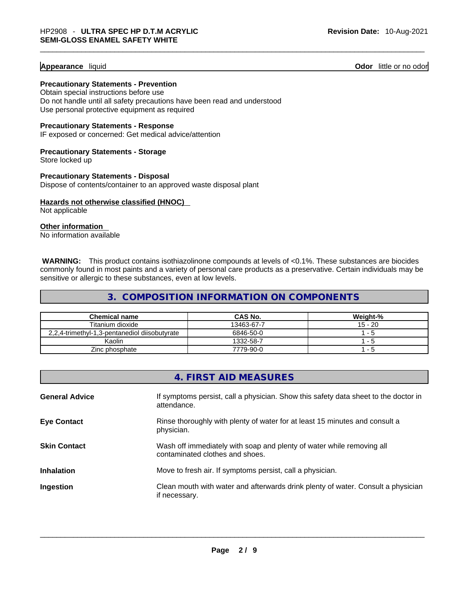#### **Appearance** liquid **Odor 11** and **Odor 11** and **Odor 11** and **Odor 11** and **Odor** 11 and **Odor** 11 and **Odor** 11 and **Odor** 11 and **Odor** 11 and **Odor** 11 and **Odor** 11 and **Odor** 11 and **Odor** 11 and **Odor** 11 and **Odor**

**Precautionary Statements - Prevention** Obtain special instructions before use

Do not handle until all safety precautions have been read and understood Use personal protective equipment as required

**Precautionary Statements - Response**

IF exposed or concerned: Get medical advice/attention

**Precautionary Statements - Storage** Store locked up

**Precautionary Statements - Disposal** Dispose of contents/container to an approved waste disposal plant

**Hazards not otherwise classified (HNOC)**  Not applicable

**Other information** 

No information available

**WARNING:** This product contains isothiazolinone compounds at levels of <0.1%. These substances are biocides commonly found in most paints and a variety of personal care products as a preservative. Certain individuals may be sensitive or allergic to these substances, even at low levels.

#### **3. COMPOSITION INFORMATION ON COMPONENTS**

| <b>Chemical name</b>                          | CAS No.    | Weight-%  |
|-----------------------------------------------|------------|-----------|
| Titanium dioxide                              | 13463-67-7 | $15 - 20$ |
| 2,2,4-trimethyl-1,3-pentanediol diisobutyrate | 6846-50-0  | 1 - 5     |
| Kaolin                                        | 1332-58-7  | $1 - h$   |
| Zinc phosphate                                | 7779-90-0  | - 5       |

| 4. FIRST AID MEASURES |                                                                                                          |  |
|-----------------------|----------------------------------------------------------------------------------------------------------|--|
| <b>General Advice</b> | If symptoms persist, call a physician. Show this safety data sheet to the doctor in<br>attendance.       |  |
| <b>Eye Contact</b>    | Rinse thoroughly with plenty of water for at least 15 minutes and consult a<br>physician.                |  |
| <b>Skin Contact</b>   | Wash off immediately with soap and plenty of water while removing all<br>contaminated clothes and shoes. |  |
| <b>Inhalation</b>     | Move to fresh air. If symptoms persist, call a physician.                                                |  |
| Ingestion             | Clean mouth with water and afterwards drink plenty of water. Consult a physician<br>if necessary.        |  |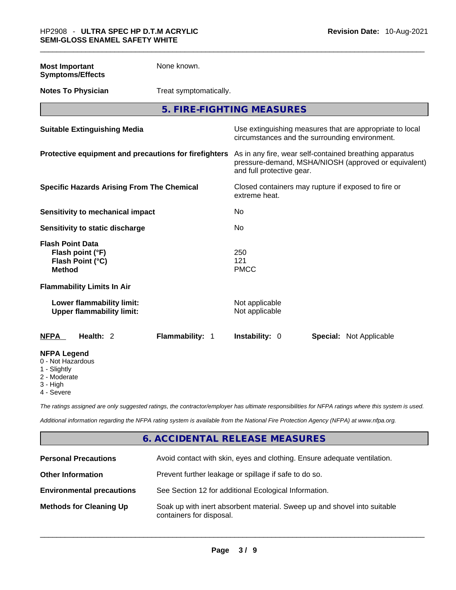| <b>Most Important</b><br><b>Symptoms/Effects</b>                                 | None known.                                           |                                  |                                                                                                                 |
|----------------------------------------------------------------------------------|-------------------------------------------------------|----------------------------------|-----------------------------------------------------------------------------------------------------------------|
| <b>Notes To Physician</b>                                                        | Treat symptomatically.                                |                                  |                                                                                                                 |
|                                                                                  |                                                       | 5. FIRE-FIGHTING MEASURES        |                                                                                                                 |
| <b>Suitable Extinguishing Media</b>                                              |                                                       |                                  | Use extinguishing measures that are appropriate to local<br>circumstances and the surrounding environment.      |
|                                                                                  | Protective equipment and precautions for firefighters | and full protective gear.        | As in any fire, wear self-contained breathing apparatus<br>pressure-demand, MSHA/NIOSH (approved or equivalent) |
| <b>Specific Hazards Arising From The Chemical</b>                                |                                                       | extreme heat.                    | Closed containers may rupture if exposed to fire or                                                             |
| Sensitivity to mechanical impact                                                 |                                                       | No                               |                                                                                                                 |
| Sensitivity to static discharge                                                  |                                                       | No                               |                                                                                                                 |
| <b>Flash Point Data</b><br>Flash point (°F)<br>Flash Point (°C)<br><b>Method</b> |                                                       | 250<br>121<br><b>PMCC</b>        |                                                                                                                 |
| <b>Flammability Limits In Air</b>                                                |                                                       |                                  |                                                                                                                 |
| Lower flammability limit:<br><b>Upper flammability limit:</b>                    |                                                       | Not applicable<br>Not applicable |                                                                                                                 |
| Health: 2<br><b>NFPA</b>                                                         | Flammability: 1                                       | Instability: 0                   | <b>Special: Not Applicable</b>                                                                                  |
| <b>NFPA Legend</b><br>0 - Not Hazardous<br>1 - Slightly<br>2 - Moderate          |                                                       |                                  |                                                                                                                 |

3 - High 4 - Severe

*The ratings assigned are only suggested ratings, the contractor/employer has ultimate responsibilities for NFPA ratings where this system is used.* 

*Additional information regarding the NFPA rating system is available from the National Fire Protection Agency (NFPA) at www.nfpa.org.* 

#### **6. ACCIDENTAL RELEASE MEASURES**

| <b>Personal Precautions</b>      | Avoid contact with skin, eyes and clothing. Ensure adequate ventilation.                             |
|----------------------------------|------------------------------------------------------------------------------------------------------|
| <b>Other Information</b>         | Prevent further leakage or spillage if safe to do so.                                                |
| <b>Environmental precautions</b> | See Section 12 for additional Ecological Information.                                                |
| <b>Methods for Cleaning Up</b>   | Soak up with inert absorbent material. Sweep up and shovel into suitable<br>containers for disposal. |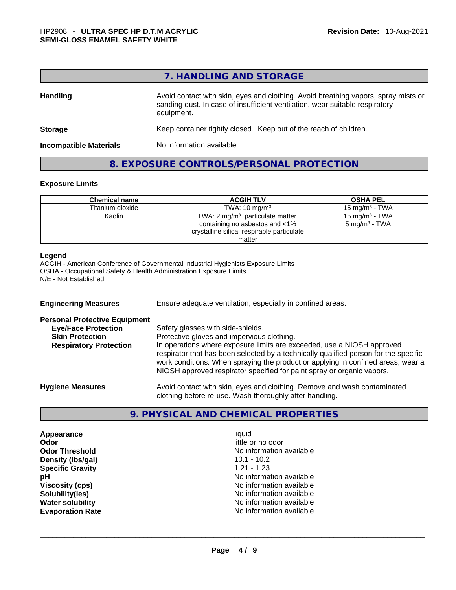#### **7. HANDLING AND STORAGE**

| <b>Handling</b>               | Avoid contact with skin, eyes and clothing. Avoid breathing vapors, spray mists or<br>sanding dust. In case of insufficient ventilation, wear suitable respiratory<br>equipment. |  |
|-------------------------------|----------------------------------------------------------------------------------------------------------------------------------------------------------------------------------|--|
| <b>Storage</b>                | Keep container tightly closed. Keep out of the reach of children.                                                                                                                |  |
| <b>Incompatible Materials</b> | No information available                                                                                                                                                         |  |

#### **8. EXPOSURE CONTROLS/PERSONAL PROTECTION**

#### **Exposure Limits**

| <b>Chemical name</b> | <b>ACGIH TLV</b>                                                                                                  | <b>OSHA PEL</b>                                        |
|----------------------|-------------------------------------------------------------------------------------------------------------------|--------------------------------------------------------|
| Titanium dioxide     | TWA: $10 \text{ mg/m}^3$                                                                                          | 15 mg/m $3$ - TWA                                      |
| Kaolin               | TWA: 2 $mg/m3$ particulate matter<br>containing no asbestos and <1%<br>crystalline silica, respirable particulate | 15 mg/m <sup>3</sup> - TWA<br>$5 \text{ mg/m}^3$ - TWA |
|                      | matter                                                                                                            |                                                        |

#### **Legend**

ACGIH - American Conference of Governmental Industrial Hygienists Exposure Limits OSHA - Occupational Safety & Health Administration Exposure Limits N/E - Not Established

| <b>Engineering Measures</b>          | Ensure adequate ventilation, especially in confined areas.                                                                                                                                                                                                                                                                   |  |
|--------------------------------------|------------------------------------------------------------------------------------------------------------------------------------------------------------------------------------------------------------------------------------------------------------------------------------------------------------------------------|--|
| <b>Personal Protective Equipment</b> |                                                                                                                                                                                                                                                                                                                              |  |
| <b>Eye/Face Protection</b>           | Safety glasses with side-shields.                                                                                                                                                                                                                                                                                            |  |
| <b>Skin Protection</b>               | Protective gloves and impervious clothing.                                                                                                                                                                                                                                                                                   |  |
| <b>Respiratory Protection</b>        | In operations where exposure limits are exceeded, use a NIOSH approved<br>respirator that has been selected by a technically qualified person for the specific<br>work conditions. When spraying the product or applying in confined areas, wear a<br>NIOSH approved respirator specified for paint spray or organic vapors. |  |
| <b>Hygiene Measures</b>              | Avoid contact with skin, eyes and clothing. Remove and wash contaminated<br>clothing before re-use. Wash thoroughly after handling.                                                                                                                                                                                          |  |

#### **9. PHYSICAL AND CHEMICAL PROPERTIES**

**Appearance** liquid **Odor**<br> **Odor Threshold**<br> **Odor Threshold**<br> **CODOR**<br> **CODOR**<br> **CODOR**<br> **CODOR**<br> **CODOR**<br> **CODOR**<br> **CODOR**<br> **CODOR**<br> **CODOR Density (Ibs/gal)** 10.1 - 10.2<br> **Specific Gravity** 1.21 - 1.23 **Specific Gravity** 

No information available<br>10.1 - 10.2 **pH pH No** information available **Viscosity (cps) Viscosity (cps) No information available Solubility(ies)** No information available **Water solubility Water solubility No information available Evaporation Rate** No information available \_\_\_\_\_\_\_\_\_\_\_\_\_\_\_\_\_\_\_\_\_\_\_\_\_\_\_\_\_\_\_\_\_\_\_\_\_\_\_\_\_\_\_\_\_\_\_\_\_\_\_\_\_\_\_\_\_\_\_\_\_\_\_\_\_\_\_\_\_\_\_\_\_\_\_\_\_\_\_\_\_\_\_\_\_\_\_\_\_\_\_\_\_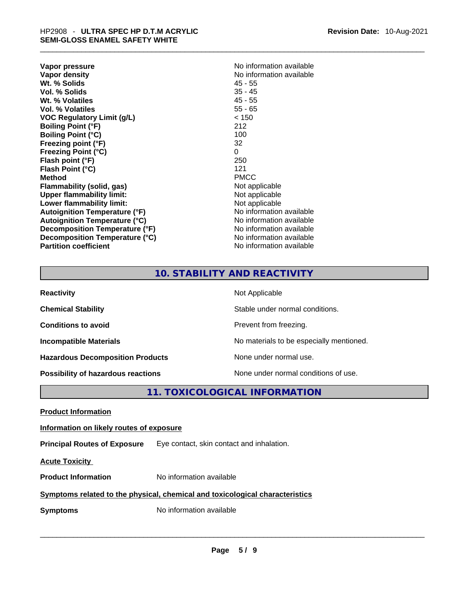| Vapor pressure                       | No information available |
|--------------------------------------|--------------------------|
| Vapor density                        | No information available |
| Wt. % Solids                         | $45 - 55$                |
| Vol. % Solids                        | $35 - 45$                |
| Wt. % Volatiles                      | $45 - 55$                |
| Vol. % Volatiles                     | $55 - 65$                |
| VOC Regulatory Limit (g/L)           | < 150                    |
| <b>Boiling Point (°F)</b>            | 212                      |
| <b>Boiling Point (°C)</b>            | 100                      |
| Freezing point (°F)                  | 32                       |
| Freezing Point (°C)                  | 0                        |
| Flash point (°F)                     | 250                      |
| Flash Point (°C)                     | 121                      |
| Method                               | <b>PMCC</b>              |
| Flammability (solid, gas)            | Not applicable           |
| <b>Upper flammability limit:</b>     | Not applicable           |
| Lower flammability limit:            | Not applicable           |
| <b>Autoignition Temperature (°F)</b> | No information available |
| <b>Autoignition Temperature (°C)</b> | No information available |
| Decomposition Temperature (°F)       | No information available |
| Decomposition Temperature (°C)       | No information available |
| <b>Partition coefficient</b>         | No information available |
|                                      |                          |

## **10. STABILITY AND REACTIVITY**

| <b>Reactivity</b>                         | Not Applicable                           |
|-------------------------------------------|------------------------------------------|
| <b>Chemical Stability</b>                 | Stable under normal conditions.          |
| <b>Conditions to avoid</b>                | Prevent from freezing.                   |
| <b>Incompatible Materials</b>             | No materials to be especially mentioned. |
| <b>Hazardous Decomposition Products</b>   | None under normal use.                   |
| <b>Possibility of hazardous reactions</b> | None under normal conditions of use.     |

#### **11. TOXICOLOGICAL INFORMATION**

**Product Information Information on likely routes of exposure Principal Routes of Exposure** Eye contact, skin contact and inhalation. **Acute Toxicity Product Information** No information available **<u>Symptoms related to the physical, chemical and toxicological characteristics</u> Symptoms** No information available **Notifically and the set of the set of the set of the set of the set of the set of the set of the set of the set of the set of the set of the set of the set of the set of the set of the**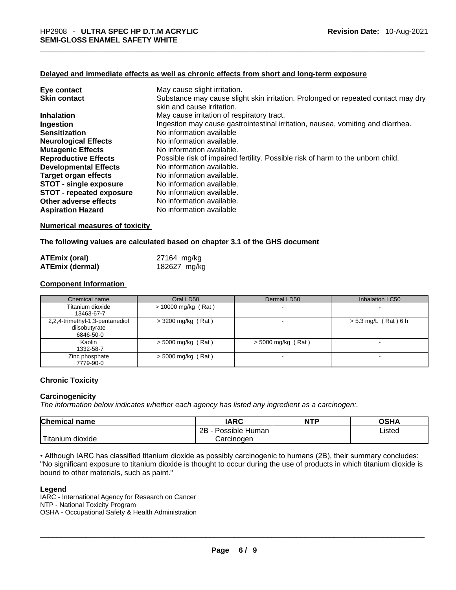#### **Delayed and immediate effects as well as chronic effects from short and long-term exposure**

| Eye contact                     | May cause slight irritation.                                                      |
|---------------------------------|-----------------------------------------------------------------------------------|
| <b>Skin contact</b>             | Substance may cause slight skin irritation. Prolonged or repeated contact may dry |
|                                 | skin and cause irritation.                                                        |
| <b>Inhalation</b>               | May cause irritation of respiratory tract.                                        |
| Ingestion                       | Ingestion may cause gastrointestinal irritation, nausea, vomiting and diarrhea.   |
| <b>Sensitization</b>            | No information available                                                          |
| <b>Neurological Effects</b>     | No information available.                                                         |
| <b>Mutagenic Effects</b>        | No information available.                                                         |
| <b>Reproductive Effects</b>     | Possible risk of impaired fertility. Possible risk of harm to the unborn child.   |
| <b>Developmental Effects</b>    | No information available.                                                         |
| Target organ effects            | No information available.                                                         |
| <b>STOT - single exposure</b>   | No information available.                                                         |
| <b>STOT - repeated exposure</b> | No information available.                                                         |
| Other adverse effects           | No information available.                                                         |
| <b>Aspiration Hazard</b>        | No information available                                                          |

#### **Numerical measures of toxicity**

#### **The following values are calculated based on chapter 3.1 of the GHS document**

| <b>ATEmix (oral)</b>   | 27164 mg/kg  |
|------------------------|--------------|
| <b>ATEmix (dermal)</b> | 182627 mg/kg |

#### **Component Information**

| Chemical name                                                 | Oral LD50             | Dermal LD50          | Inhalation LC50        |  |
|---------------------------------------------------------------|-----------------------|----------------------|------------------------|--|
| Titanium dioxide<br>13463-67-7                                | $> 10000$ mg/kg (Rat) |                      |                        |  |
| 2,2,4-trimethyl-1,3-pentanediol<br>diisobutyrate<br>6846-50-0 | $>$ 3200 mg/kg (Rat)  |                      | $> 5.3$ mg/L (Rat) 6 h |  |
| Kaolin<br>1332-58-7                                           | $>$ 5000 mg/kg (Rat)  | $>$ 5000 mg/kg (Rat) | -                      |  |
| Zinc phosphate<br>7779-90-0                                   | $>$ 5000 mg/kg (Rat)  |                      | $\sim$                 |  |

#### **Chronic Toxicity**

#### **Carcinogenicity**

*The information below indicates whether each agency has listed any ingredient as a carcinogen:.* 

| <b>Chemical name</b> | IARC                 | <b>NTP</b> | OSHA   |
|----------------------|----------------------|------------|--------|
|                      | Possible Human<br>2Β |            | ∟isted |
| Titanium<br>dioxide  | Carcinoɑen           |            |        |

• Although IARC has classified titanium dioxide as possibly carcinogenic to humans (2B), their summary concludes: "No significant exposure to titanium dioxide is thought to occur during the use of products in which titanium dioxide is<br>bound to other materials, such as paint."

#### **Legend**

bound to other materials, such as paint."<br>
Legend<br>
IARC - International Agency for Research on Cancer<br>
NTP - National Toxicity Program<br>
OSHA - Occupational Safety & Health Administration<br>
\_\_\_\_\_\_\_\_\_\_\_\_\_\_\_\_\_\_\_\_\_\_\_\_\_\_\_\_\_\_\_\_\_\_ IARC - International Agency for Research on Cancer NTP - National Toxicity Program OSHA - Occupational Safety & Health Administration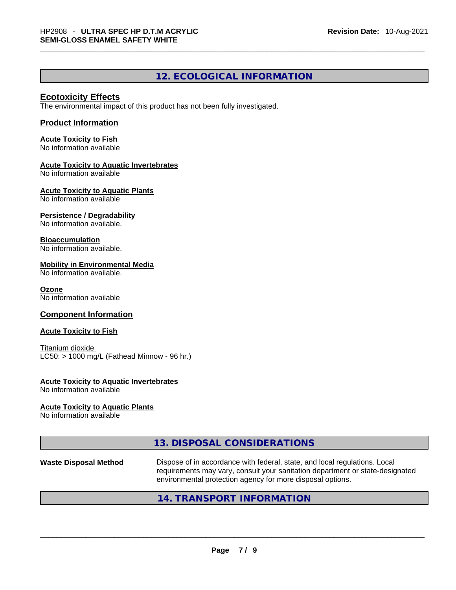#### **12. ECOLOGICAL INFORMATION**

#### **Ecotoxicity Effects**

The environmental impact of this product has not been fully investigated.

#### **Product Information**

**Acute Toxicity to Fish** No information available

#### **Acute Toxicity to Aquatic Invertebrates**

No information available

**Acute Toxicity to Aquatic Plants** No information available

#### **Persistence / Degradability**

No information available.

#### **Bioaccumulation**

No information available.

#### **Mobility in Environmental Media**

No information available.

#### **Ozone**

No information available

#### **Component Information**

#### **Acute Toxicity to Fish**

Titanium dioxide  $LC50:$  > 1000 mg/L (Fathead Minnow - 96 hr.)

#### **Acute Toxicity to Aquatic Invertebrates**

No information available

#### **Acute Toxicity to Aquatic Plants**

No information available

#### **13. DISPOSAL CONSIDERATIONS**

**Waste Disposal Method** Dispose of in accordance with federal, state, and local regulations. Local requirements may vary, consult your sanitation department or state-designated environmental protection agency for more disposal options.

#### **14. TRANSPORT INFORMATION**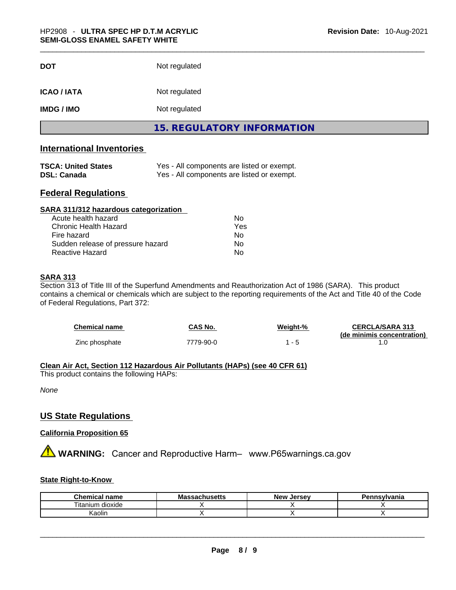| <b>DOT</b>         | Not regulated                     |  |
|--------------------|-----------------------------------|--|
| <b>ICAO / IATA</b> | Not regulated                     |  |
| <b>IMDG / IMO</b>  | Not regulated                     |  |
|                    | <b>15. REGULATORY INFORMATION</b> |  |
|                    |                                   |  |

### **International Inventories**

| <b>TSCA: United States</b> | Yes - All components are listed or exempt. |
|----------------------------|--------------------------------------------|
| <b>DSL: Canada</b>         | Yes - All components are listed or exempt. |

#### **Federal Regulations**

| SARA 311/312 hazardous categorization |     |  |
|---------------------------------------|-----|--|
| Acute health hazard                   | Nο  |  |
| Chronic Health Hazard                 | Yes |  |
| Fire hazard                           | No  |  |
| Sudden release of pressure hazard     | Nο  |  |
| <b>Reactive Hazard</b>                | No  |  |

#### **SARA 313**

Section 313 of Title III of the Superfund Amendments and Reauthorization Act of 1986 (SARA). This product contains a chemical or chemicals which are subject to the reporting requirements of the Act and Title 40 of the Code of Federal Regulations, Part 372:

| Chemical name  | CAS No.   | Weight-% | <b>CERCLA/SARA 313</b>     |
|----------------|-----------|----------|----------------------------|
| Zinc phosphate | 7779-90-0 | $ \sim$  | (de minimis concentration) |

#### **Clean Air Act,Section 112 Hazardous Air Pollutants (HAPs) (see 40 CFR 61)**

This product contains the following HAPs:

*None*

#### **US State Regulations**

#### **California Proposition 65**

**A** WARNING: Cancer and Reproductive Harm– www.P65warnings.ca.gov

#### **State Right-to-Know**

| <b>Chemical name</b>   | <b>Massachusetts</b> | New<br>. Jersev | Pennsylvania |
|------------------------|----------------------|-----------------|--------------|
| <br>dioxide<br>ıtanıum |                      |                 |              |
| ∖aolın                 |                      |                 |              |